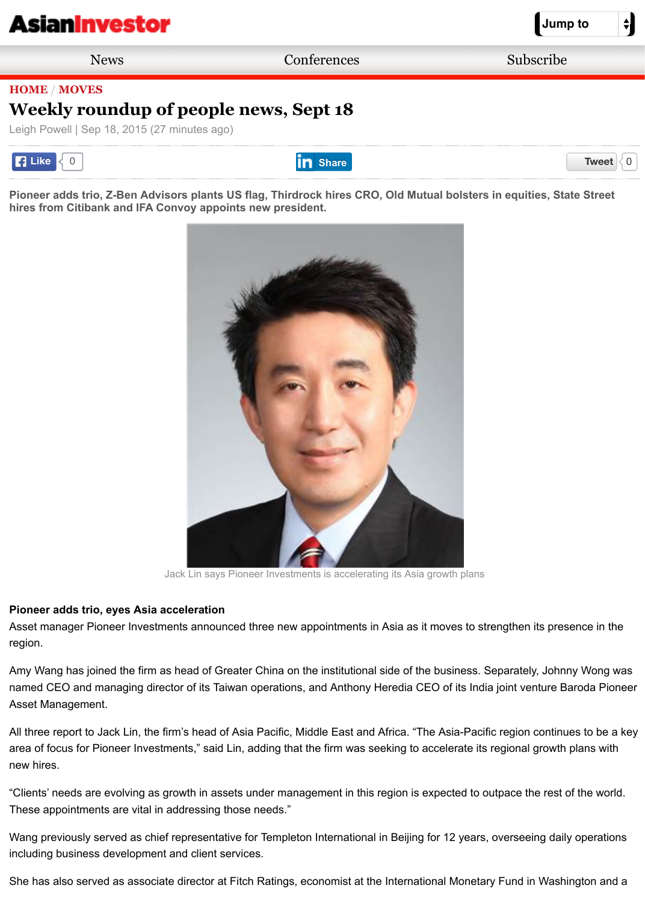[Pioneer adds trio, Z-Ben Advi](http://m.asianinvestor.net/Default.aspx)sors plants US flag, Thirdrock hires CRO, Old Mutual bolsters in equities, St **hires from Citibank and IFA Convoy appoints new president.** 



Jack Lin says Pioneer Investments is accelerating its Asia growth plans

#### **Pioneer adds trio, eyes Asia acceleration**

Asset manager Pioneer Investments announced three new appointments in Asia as it moves to strengthen its pre region.

Amy Wang has joined the firm as head of Greater China on the institutional side of the business. Separately, John named CEO and managing director of its Taiwan operations, and Anthony Heredia CEO of its India joint venture E Asset Management.

All three report to Jack Lin, the firm's head of Asia Pacific, Middle East and Africa. "The Asia-Pacific region contini area of focus for Pioneer Investments," said Lin, adding that the firm was seeking to accelerate its regional growth new hires.

"Clients' needs are evolving as growth in assets under management in this region is expected to outpace the rest These appointments are vital in addressing those needs."

Wang previously served as chief representative for Templeton International in Beijing for 12 years, overseeing dai including business development and client services.

She has also served as associate director at Fitch Ratings, economist at the International Monetary Fund in Wash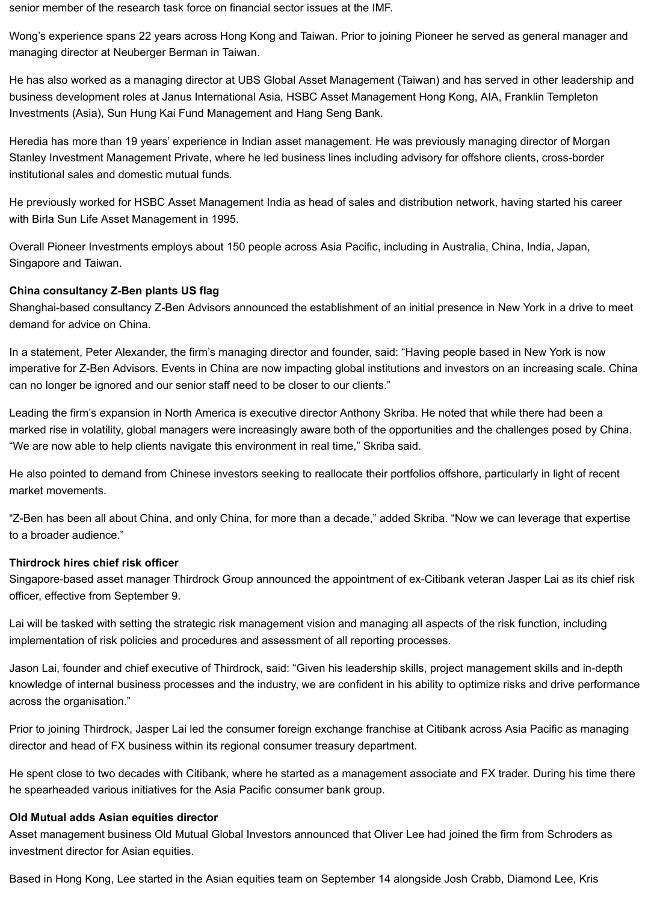senior member of the research task force on financial sector issues at the IMF.

Wong's experience spans 22 years across Hong Kong and Taiwan. Prior to joining Pioneer he served as general manager and managing director at Neuberger Berman in Taiwan.

He has also worked as a managing director at UBS Global Asset Management (Taiwan) and has served in other leadership and business development roles at Janus International Asia, HSBC Asset Management Hong Kong, AIA, Franklin Templeton Investments (Asia), Sun Hung Kai Fund Management and Hang Seng Bank.

Heredia has more than 19 years' experience in Indian asset management. He was previously managing director of Morgan Stanley Investment Management Private, where he led business lines including advisory for offshore clients, cross-border institutional sales and domestic mutual funds.

He previously worked for HSBC Asset Management India as head of sales and distribution network, having started his career with Birla Sun Life Asset Management in 1995.

Overall Pioneer Investments employs about 150 people across Asia Pacific, including in Australia, China, India, Japan, Singapore and Taiwan.

# **China consultancy Z-Ben plants US flag**

Shanghai-based consultancy Z-Ben Advisors announced the establishment of an initial presence in New York in a drive to meet demand for advice on China.

In a statement, Peter Alexander, the firm's managing director and founder, said: "Having people based in New York is now imperative for Z-Ben Advisors. Events in China are now impacting global institutions and investors on an increasing scale. China can no longer be ignored and our senior staff need to be closer to our clients."

Leading the firm's expansion in North America is executive director Anthony Skriba. He noted that while there had been a marked rise in volatility, global managers were increasingly aware both of the opportunities and the challenges posed by China. "We are now able to help clients navigate this environment in real time," Skriba said.

He also pointed to demand from Chinese investors seeking to reallocate their portfolios offshore, particularly in light of recent market movements.

"Z-Ben has been all about China, and only China, for more than a decade," added Skriba. "Now we can leverage that expertise to a broader audience."

#### **Thirdrock hires chief risk officer**

Singapore-based asset manager Thirdrock Group announced the appointment of ex-Citibank veteran Jasper Lai as its chief risk officer, effective from September 9.

Lai will be tasked with setting the strategic risk management vision and managing all aspects of the risk function, including implementation of risk policies and procedures and assessment of all reporting processes.

Jason Lai, founder and chief executive of Thirdrock, said: "Given his leadership skills, project management skills and in-depth knowledge of internal business processes and the industry, we are confident in his ability to optimize risks and drive performance across the organisation."

Prior to joining Thirdrock, Jasper Lai led the consumer foreign exchange franchise at Citibank across Asia Pacific as managing director and head of FX business within its regional consumer treasury department.

He spent close to two decades with Citibank, where he started as a management associate and FX trader. During his time there he spearheaded various initiatives for the Asia Pacific consumer bank group.

#### **Old Mutual adds Asian equities director**

Asset management business Old Mutual Global Investors announced that Oliver Lee had joined the firm from Schroders as investment director for Asian equities.

Based in Hong Kong, Lee started in the Asian equities team on September 14 alongside Josh Crabb, Diamond Lee, Kris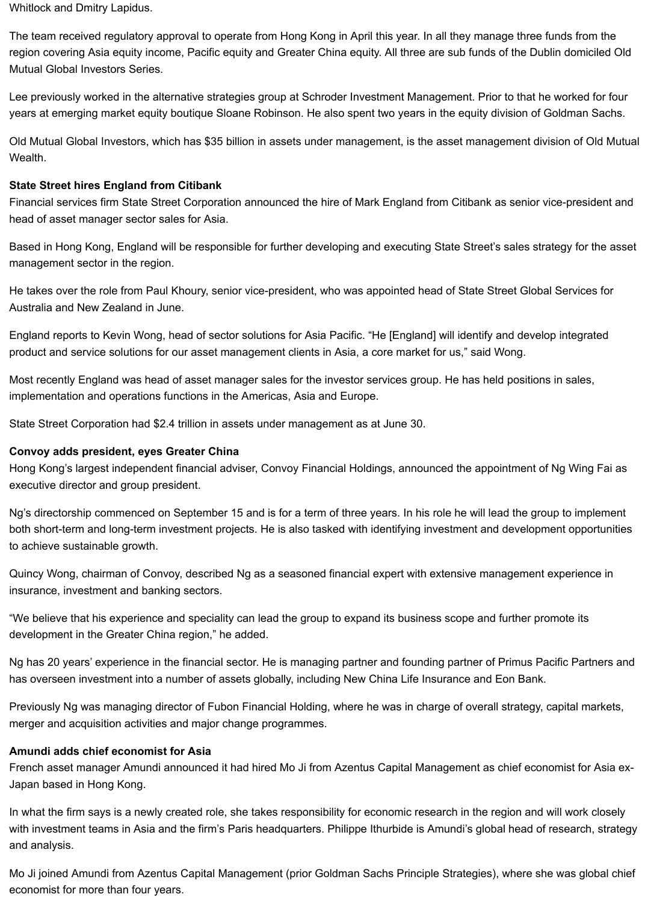Whitlock and Dmitry Lapidus.

The team received regulatory approval to operate from Hong Kong in April this year. In all they manage three funds from the region covering Asia equity income, Pacific equity and Greater China equity. All three are sub funds of the Dublin domiciled Old Mutual Global Investors Series.

Lee previously worked in the alternative strategies group at Schroder Investment Management. Prior to that he worked for four years at emerging market equity boutique Sloane Robinson. He also spent two years in the equity division of Goldman Sachs.

Old Mutual Global Investors, which has \$35 billion in assets under management, is the asset management division of Old Mutual Wealth.

## **State Street hires England from Citibank**

Financial services firm State Street Corporation announced the hire of Mark England from Citibank as senior vice-president and head of asset manager sector sales for Asia.

Based in Hong Kong, England will be responsible for further developing and executing State Street's sales strategy for the asset management sector in the region.

He takes over the role from Paul Khoury, senior vice-president, who was appointed head of State Street Global Services for Australia and New Zealand in June.

England reports to Kevin Wong, head of sector solutions for Asia Pacific. "He [England] will identify and develop integrated product and service solutions for our asset management clients in Asia, a core market for us," said Wong.

Most recently England was head of asset manager sales for the investor services group. He has held positions in sales, implementation and operations functions in the Americas, Asia and Europe.

State Street Corporation had \$2.4 trillion in assets under management as at June 30.

### **Convoy adds president, eyes Greater China**

Hong Kong's largest independent financial adviser, Convoy Financial Holdings, announced the appointment of Ng Wing Fai as executive director and group president.

Ng's directorship commenced on September 15 and is for a term of three years. In his role he will lead the group to implement both short-term and long-term investment projects. He is also tasked with identifying investment and development opportunities to achieve sustainable growth.

Quincy Wong, chairman of Convoy, described Ng as a seasoned financial expert with extensive management experience in insurance, investment and banking sectors.

"We believe that his experience and speciality can lead the group to expand its business scope and further promote its development in the Greater China region," he added.

Ng has 20 years' experience in the financial sector. He is managing partner and founding partner of Primus Pacific Partners and has overseen investment into a number of assets globally, including New China Life Insurance and Eon Bank.

Previously Ng was managing director of Fubon Financial Holding, where he was in charge of overall strategy, capital markets, merger and acquisition activities and major change programmes.

#### **Amundi adds chief economist for Asia**

French asset manager Amundi announced it had hired Mo Ji from Azentus Capital Management as chief economist for Asia ex-Japan based in Hong Kong.

In what the firm says is a newly created role, she takes responsibility for economic research in the region and will work closely with investment teams in Asia and the firm's Paris headquarters. Philippe Ithurbide is Amundi's global head of research, strategy and analysis.

Mo Ji joined Amundi from Azentus Capital Management (prior Goldman Sachs Principle Strategies), where she was global chief economist for more than four years.